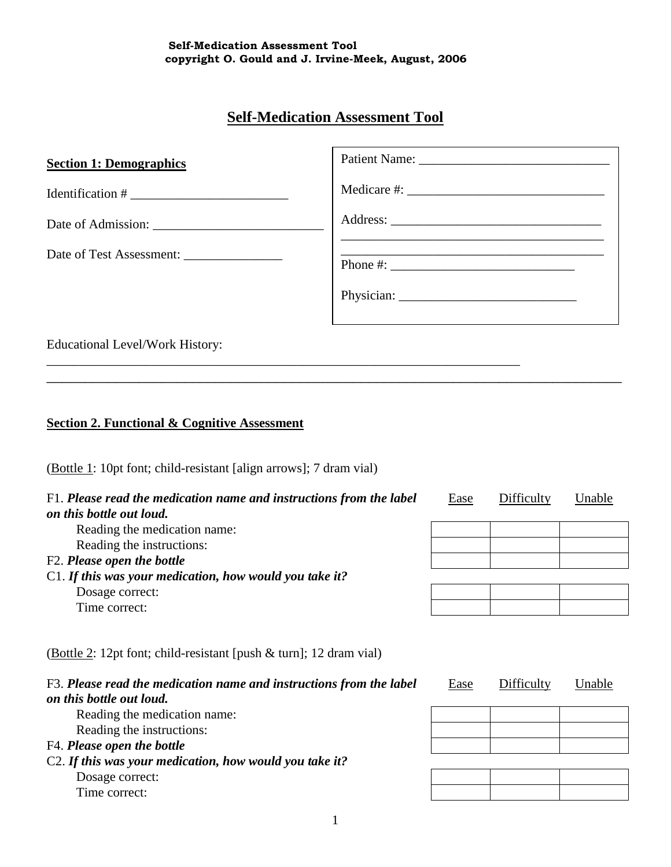# **Self-Medication Assessment Tool**

| <b>Section 1: Demographics</b>                                                                                                      |  |  |  |  |  |  |  |
|-------------------------------------------------------------------------------------------------------------------------------------|--|--|--|--|--|--|--|
|                                                                                                                                     |  |  |  |  |  |  |  |
|                                                                                                                                     |  |  |  |  |  |  |  |
|                                                                                                                                     |  |  |  |  |  |  |  |
|                                                                                                                                     |  |  |  |  |  |  |  |
| the control of the control of the control of the control of the control of the control of<br><b>Educational Level/Work History:</b> |  |  |  |  |  |  |  |
| <b>Section 2. Functional &amp; Cognitive Assessment</b>                                                                             |  |  |  |  |  |  |  |
| (Bottle 1: 10pt font; child-resistant [align arrows]; 7 dram vial)                                                                  |  |  |  |  |  |  |  |

| F1. Please read the medication name and instructions from the label<br>on this bottle out loud.                                                                          | Ease | Difficulty | Unable |
|--------------------------------------------------------------------------------------------------------------------------------------------------------------------------|------|------------|--------|
| Reading the medication name:                                                                                                                                             |      |            |        |
| Reading the instructions:                                                                                                                                                |      |            |        |
| F2. Please open the bottle                                                                                                                                               |      |            |        |
| $C1$ . If this was your medication, how would you take it?                                                                                                               |      |            |        |
| Dosage correct:                                                                                                                                                          |      |            |        |
| Time correct:                                                                                                                                                            |      |            |        |
| (Bottle 2: 12pt font; child-resistant [push $\&$ turn]; 12 dram vial)<br>F3. Please read the medication name and instructions from the label<br>on this bottle out loud. | Ease | Difficulty | Unable |
| Reading the medication name:                                                                                                                                             |      |            |        |
| Reading the instructions:                                                                                                                                                |      |            |        |
| F4. Please open the bottle                                                                                                                                               |      |            |        |
| C2. If this was your medication, how would you take it?                                                                                                                  |      |            |        |
| Dosage correct:                                                                                                                                                          |      |            |        |

Time correct: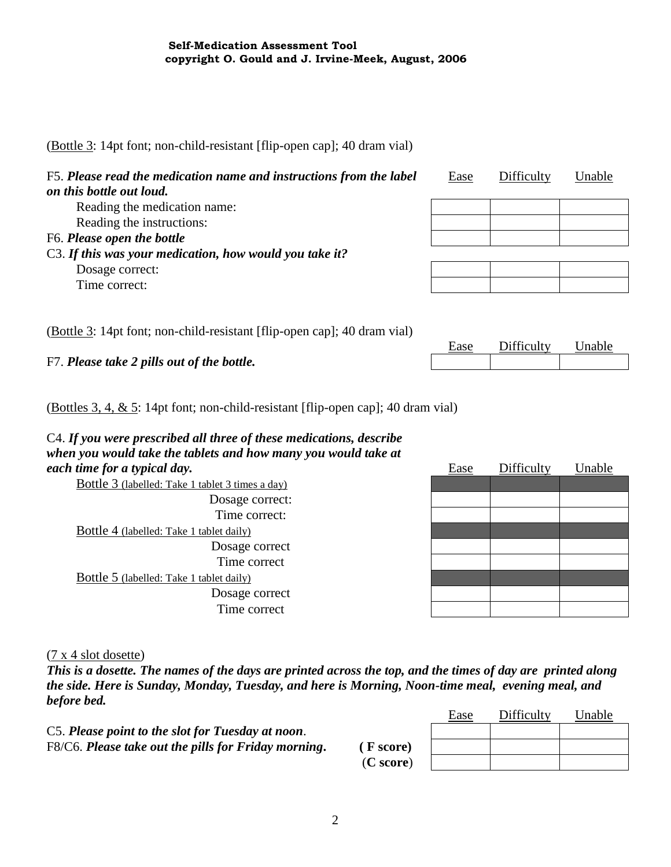(Bottle 3: 14pt font; non-child-resistant [flip-open cap]; 40 dram vial)

| F5. Please read the medication name and instructions from the label<br>on this bottle out loud. | Ease | Difficulty | Unable |
|-------------------------------------------------------------------------------------------------|------|------------|--------|
| Reading the medication name:                                                                    |      |            |        |
| Reading the instructions:                                                                       |      |            |        |
| F6. Please open the bottle                                                                      |      |            |        |
| C3. If this was your medication, how would you take it?                                         |      |            |        |
| Dosage correct:                                                                                 |      |            |        |
| Time correct:                                                                                   |      |            |        |
|                                                                                                 |      |            |        |

(Bottle 3: 14pt font; non-child-resistant [flip-open cap]; 40 dram vial)

F7. *Please take 2 pills out of the bottle.*

| насе | Difficulty | Unable. |
|------|------------|---------|
|      |            |         |

(Bottles 3, 4, & 5: 14pt font; non-child-resistant [flip-open cap]; 40 dram vial)

#### C4. *If you were prescribed all three of these medications, describe when you would take the tablets and how many you would take at each time for a typical day.* Ease Difficulty Unable

|                                                  | $-$ |  |
|--------------------------------------------------|-----|--|
| Bottle 3 (labelled: Take 1 tablet 3 times a day) |     |  |
| Dosage correct:                                  |     |  |
| Time correct:                                    |     |  |
| <b>Bottle 4 (labelled: Take 1 tablet daily)</b>  |     |  |
| Dosage correct                                   |     |  |
| Time correct                                     |     |  |
| Bottle 5 (labelled: Take 1 tablet daily)         |     |  |
| Dosage correct                                   |     |  |
| Time correct                                     |     |  |
|                                                  |     |  |

(7 x 4 slot dosette)

*This is a dosette. The names of the days are printed across the top, and the times of day are printed along the side. Here is Sunday, Monday, Tuesday, and here is Morning, Noon-time meal, evening meal, and before bed.*

|                                                      |           | Ease | Difficulty | Unable |
|------------------------------------------------------|-----------|------|------------|--------|
| C5. Please point to the slot for Tuesday at noon.    |           |      |            |        |
| F8/C6. Please take out the pills for Friday morning. | (F score) |      |            |        |
|                                                      | (C score) |      |            |        |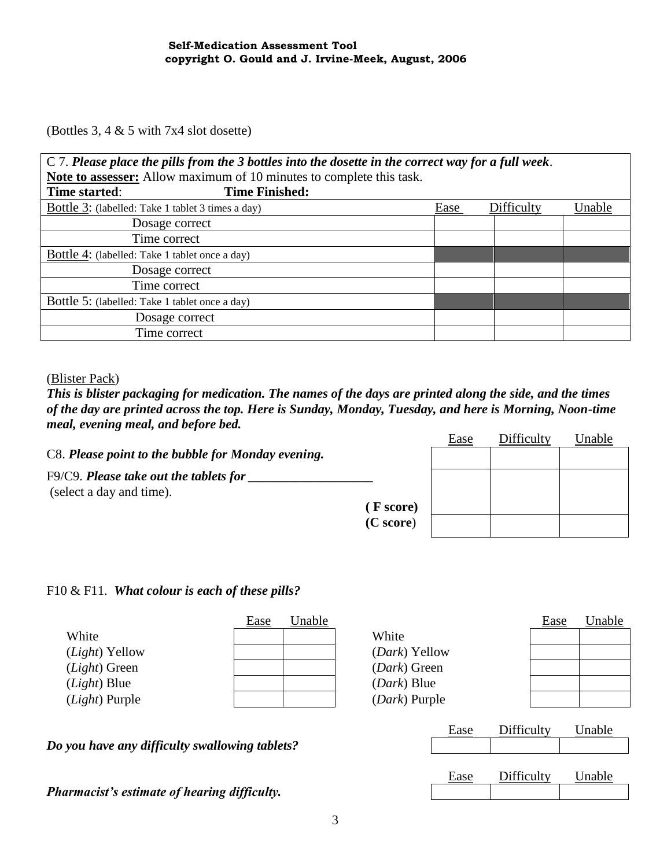(Bottles 3, 4 & 5 with 7x4 slot dosette)

| $C$ 7. Please place the pills from the 3 bottles into the dosette in the correct way for a full week. |                       |      |            |        |  |  |  |
|-------------------------------------------------------------------------------------------------------|-----------------------|------|------------|--------|--|--|--|
| Note to assesser: Allow maximum of 10 minutes to complete this task.                                  |                       |      |            |        |  |  |  |
| Time started:                                                                                         | <b>Time Finished:</b> |      |            |        |  |  |  |
| Bottle 3: (labelled: Take 1 tablet 3 times a day)                                                     |                       | Ease | Difficulty | Unable |  |  |  |
| Dosage correct                                                                                        |                       |      |            |        |  |  |  |
| Time correct                                                                                          |                       |      |            |        |  |  |  |
| <b>Bottle 4:</b> (labelled: Take 1 tablet once a day)                                                 |                       |      |            |        |  |  |  |
| Dosage correct                                                                                        |                       |      |            |        |  |  |  |
| Time correct                                                                                          |                       |      |            |        |  |  |  |
| Bottle 5: (labelled: Take 1 tablet once a day)                                                        |                       |      |            |        |  |  |  |
| Dosage correct                                                                                        |                       |      |            |        |  |  |  |
| Time correct                                                                                          |                       |      |            |        |  |  |  |

(Blister Pack)

*This is blister packaging for medication. The names of the days are printed along the side, and the times of the day are printed across the top. Here is Sunday, Monday, Tuesday, and here is Morning, Noon-time meal, evening meal, and before bed.* Ease Difficulty Unable

|                                                    |           | <b>Ease</b> | DILICUITY | Unable |
|----------------------------------------------------|-----------|-------------|-----------|--------|
| C8. Please point to the bubble for Monday evening. |           |             |           |        |
| $F9/C9$ . Please take out the tablets for          |           |             |           |        |
| (select a day and time).                           |           |             |           |        |
|                                                    | (F score) |             |           |        |
|                                                    | (C score) |             |           |        |
|                                                    |           |             |           |        |

### F10 & F11. *What colour is each of these pills?*

|                         | <u>Ease</u> | Unable |                        | <b>Ease</b> | Unable |
|-------------------------|-------------|--------|------------------------|-------------|--------|
| White                   |             |        | White                  |             |        |
| ( <i>Light</i> ) Yellow |             |        | ( <i>Dark</i> ) Yellow |             |        |
| $(Light)$ Green         |             |        | ( <i>Dark</i> ) Green  |             |        |
| $(Light)$ Blue          |             |        | ( <i>Dark</i> ) Blue   |             |        |
| ( <i>Light</i> ) Purple |             |        | ( <i>Dark</i> ) Purple |             |        |
|                         |             |        |                        |             |        |

Ease Difficulty Unable

Ease Difficulty Unable

*Do you have any difficulty swallowing tablets?*

*Pharmacist's estimate of hearing difficulty.*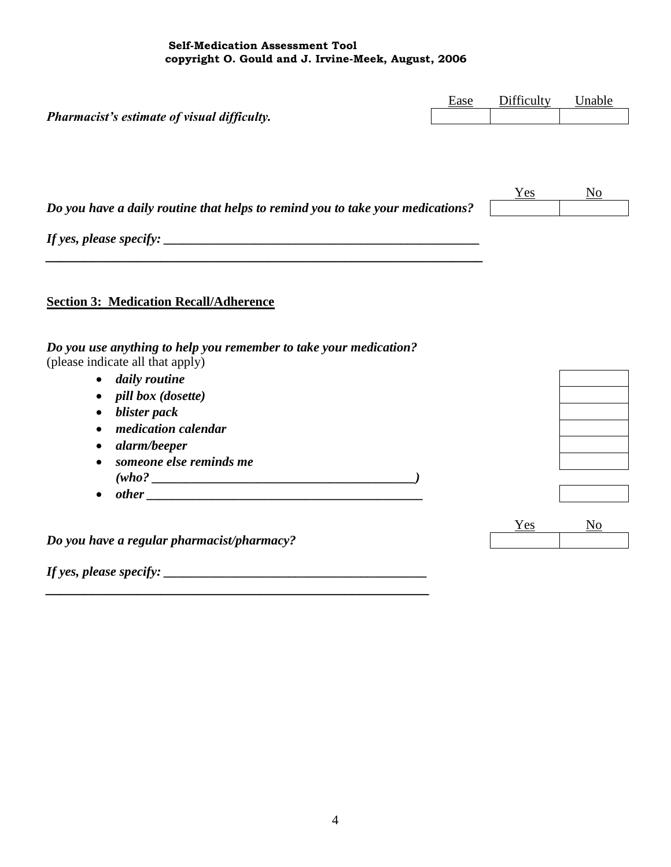**Self-Medication Assessment Tool copyright O. Gould and J. Irvine-Meek, August, 2006**

|                                                                                                       | Ease | Difficulty | Unable |
|-------------------------------------------------------------------------------------------------------|------|------------|--------|
| Pharmacist's estimate of visual difficulty.                                                           |      |            |        |
|                                                                                                       |      |            |        |
|                                                                                                       |      | Yes        | No     |
| Do you have a daily routine that helps to remind you to take your medications?                        |      |            |        |
|                                                                                                       |      |            |        |
|                                                                                                       |      |            |        |
| <b>Section 3: Medication Recall/Adherence</b>                                                         |      |            |        |
|                                                                                                       |      |            |        |
| Do you use anything to help you remember to take your medication?<br>(please indicate all that apply) |      |            |        |
| daily routine                                                                                         |      |            |        |
| <i>pill box (dosette)</i>                                                                             |      |            |        |
| blister pack                                                                                          |      |            |        |
| medication calendar                                                                                   |      |            |        |
| alarm/beeper                                                                                          |      |            |        |
| someone else reminds me                                                                               |      |            |        |
|                                                                                                       |      |            |        |
|                                                                                                       |      |            |        |
|                                                                                                       |      | Yes        | No     |
| Do you have a regular pharmacist/pharmacy?                                                            |      |            |        |
| If yes, please specify: $\overline{\phantom{a}}$                                                      |      |            |        |

*\_\_\_\_\_\_\_\_\_\_\_\_\_\_\_\_\_\_\_\_\_\_\_\_\_\_\_\_\_\_\_\_\_\_\_\_\_\_\_\_\_\_\_\_\_\_\_\_\_\_*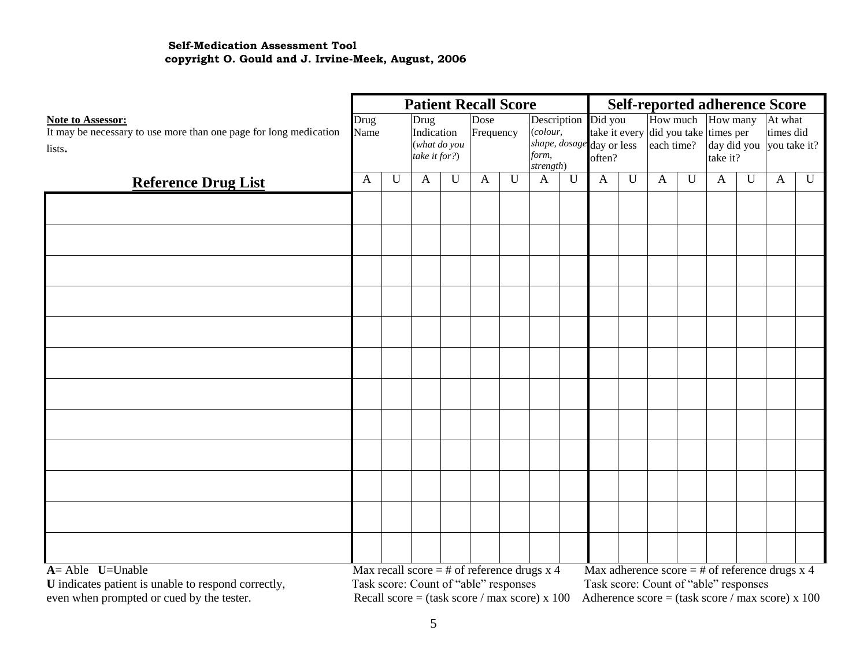#### **Self-Medication Assessment Tool copyright O. Gould and J. Irvine-Meek, August, 2006**

|                                                                   |      | <b>Patient Recall Score</b> |                                                 |             |              | <b>Self-reported adherence Score</b> |                     |             |                                     |                |                                       |             |              |   |                                                    |             |
|-------------------------------------------------------------------|------|-----------------------------|-------------------------------------------------|-------------|--------------|--------------------------------------|---------------------|-------------|-------------------------------------|----------------|---------------------------------------|-------------|--------------|---|----------------------------------------------------|-------------|
| <b>Note to Assessor:</b>                                          | Drug |                             | Drug                                            |             | Dose         |                                      | Description Did you |             |                                     |                | How much                              |             | How many     |   | At what                                            |             |
| It may be necessary to use more than one page for long medication | Name |                             | Indication                                      |             | Frequency    |                                      | $\text{(colour, }$  |             |                                     |                | take it every did you take times per  |             |              |   | times did                                          |             |
| lists.                                                            |      |                             | (what do you<br>take it for?)                   |             |              |                                      | form,               |             | shape, dosage day or less<br>often? |                | each time?                            |             | take it?     |   | day did you you take it?                           |             |
|                                                                   |      |                             |                                                 |             |              |                                      | strength)           |             |                                     |                |                                       |             |              |   |                                                    |             |
| <b>Reference Drug List</b>                                        | A    | U                           | $\mathbf{A}$                                    | $\mathbf U$ | $\mathbf{A}$ | U                                    | A                   | $\mathbf U$ | $\mathbf{A}$                        | $\overline{U}$ | $\mathbf{A}$                          | $\mathbf U$ | $\mathbf{A}$ | U | $\mathbf{A}$                                       | $\mathbf U$ |
|                                                                   |      |                             |                                                 |             |              |                                      |                     |             |                                     |                |                                       |             |              |   |                                                    |             |
|                                                                   |      |                             |                                                 |             |              |                                      |                     |             |                                     |                |                                       |             |              |   |                                                    |             |
|                                                                   |      |                             |                                                 |             |              |                                      |                     |             |                                     |                |                                       |             |              |   |                                                    |             |
|                                                                   |      |                             |                                                 |             |              |                                      |                     |             |                                     |                |                                       |             |              |   |                                                    |             |
|                                                                   |      |                             |                                                 |             |              |                                      |                     |             |                                     |                |                                       |             |              |   |                                                    |             |
|                                                                   |      |                             |                                                 |             |              |                                      |                     |             |                                     |                |                                       |             |              |   |                                                    |             |
|                                                                   |      |                             |                                                 |             |              |                                      |                     |             |                                     |                |                                       |             |              |   |                                                    |             |
|                                                                   |      |                             |                                                 |             |              |                                      |                     |             |                                     |                |                                       |             |              |   |                                                    |             |
|                                                                   |      |                             |                                                 |             |              |                                      |                     |             |                                     |                |                                       |             |              |   |                                                    |             |
|                                                                   |      |                             |                                                 |             |              |                                      |                     |             |                                     |                |                                       |             |              |   |                                                    |             |
|                                                                   |      |                             |                                                 |             |              |                                      |                     |             |                                     |                |                                       |             |              |   |                                                    |             |
|                                                                   |      |                             |                                                 |             |              |                                      |                     |             |                                     |                |                                       |             |              |   |                                                    |             |
|                                                                   |      |                             |                                                 |             |              |                                      |                     |             |                                     |                |                                       |             |              |   |                                                    |             |
|                                                                   |      |                             |                                                 |             |              |                                      |                     |             |                                     |                |                                       |             |              |   |                                                    |             |
|                                                                   |      |                             |                                                 |             |              |                                      |                     |             |                                     |                |                                       |             |              |   |                                                    |             |
|                                                                   |      |                             |                                                 |             |              |                                      |                     |             |                                     |                |                                       |             |              |   |                                                    |             |
| $A =$ Able $U=$ Unable                                            |      |                             | Max recall score $=$ # of reference drugs x 4   |             |              |                                      |                     |             |                                     |                |                                       |             |              |   | Max adherence score = $#$ of reference drugs x 4   |             |
| U indicates patient is unable to respond correctly,               |      |                             | Task score: Count of "able" responses           |             |              |                                      |                     |             |                                     |                | Task score: Count of "able" responses |             |              |   |                                                    |             |
| even when prompted or cued by the tester.                         |      |                             | Recall score = $(task score / max score) x 100$ |             |              |                                      |                     |             |                                     |                |                                       |             |              |   | Adherence score = $(task score / max score) x 100$ |             |